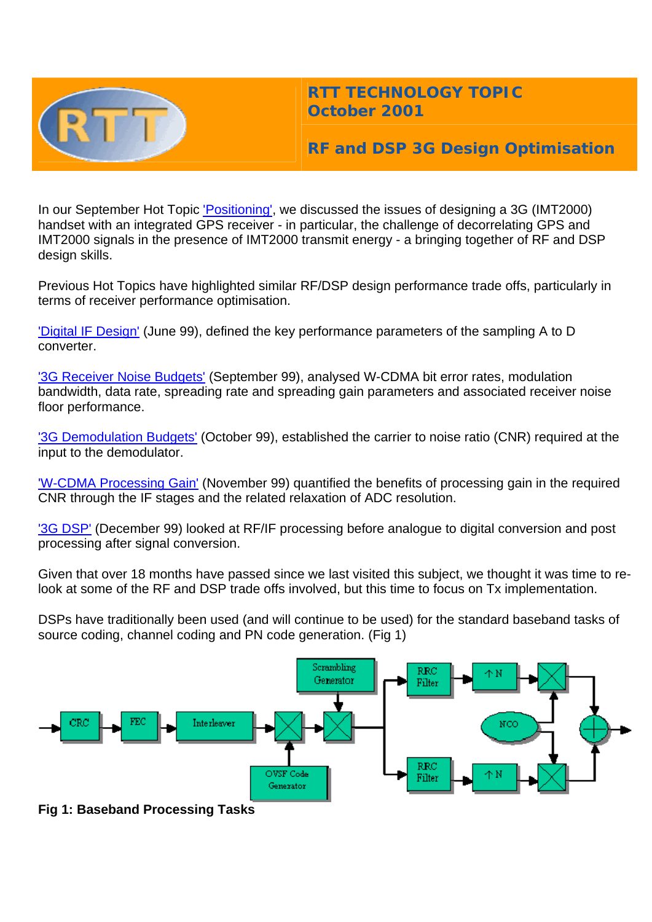

## **RTT TECHNOLOGY TOPIC October 2001**

# **RF and DSP 3G Design Optimisation**

In our September Hot Topic ['Positioning',](http://www.rttonline.com/HotTopics/hottop_sep01.htm) we discussed the issues of designing a 3G (IMT2000) handset with an integrated GPS receiver - in particular, the challenge of decorrelating GPS and IMT2000 signals in the presence of IMT2000 transmit energy - a bringing together of RF and DSP design skills.

Previous Hot Topics have highlighted similar RF/DSP design performance trade offs, particularly in terms of receiver performance optimisation.

['Digital IF Design'](http://www.rttonline.com/HotTopics/hottop_jun99.htm) (June 99), defined the key performance parameters of the sampling A to D converter.

['3G Receiver Noise Budgets'](http://www.rttonline.com/HotTopics/hottop_sep99.htm) (September 99), analysed W-CDMA bit error rates, modulation bandwidth, data rate, spreading rate and spreading gain parameters and associated receiver noise floor performance.

['3G Demodulation Budgets'](http://www.rttonline.com/HotTopics/hottop_oct99.htm) (October 99), established the carrier to noise ratio (CNR) required at the input to the demodulator.

['W-CDMA Processing Gain'](http://www.rttonline.com/HotTopics/hottop_nov99.htm) (November 99) quantified the benefits of processing gain in the required CNR through the IF stages and the related relaxation of ADC resolution.

<sup>1</sup>3G DSP<sup>'</sup> (December 99) looked at RF/IF processing before analogue to digital conversion and post processing after signal conversion.

Given that over 18 months have passed since we last visited this subject, we thought it was time to relook at some of the RF and DSP trade offs involved, but this time to focus on Tx implementation.

DSPs have traditionally been used (and will continue to be used) for the standard baseband tasks of source coding, channel coding and PN code generation. (Fig 1)



**Fig 1: Baseband Processing Tasks**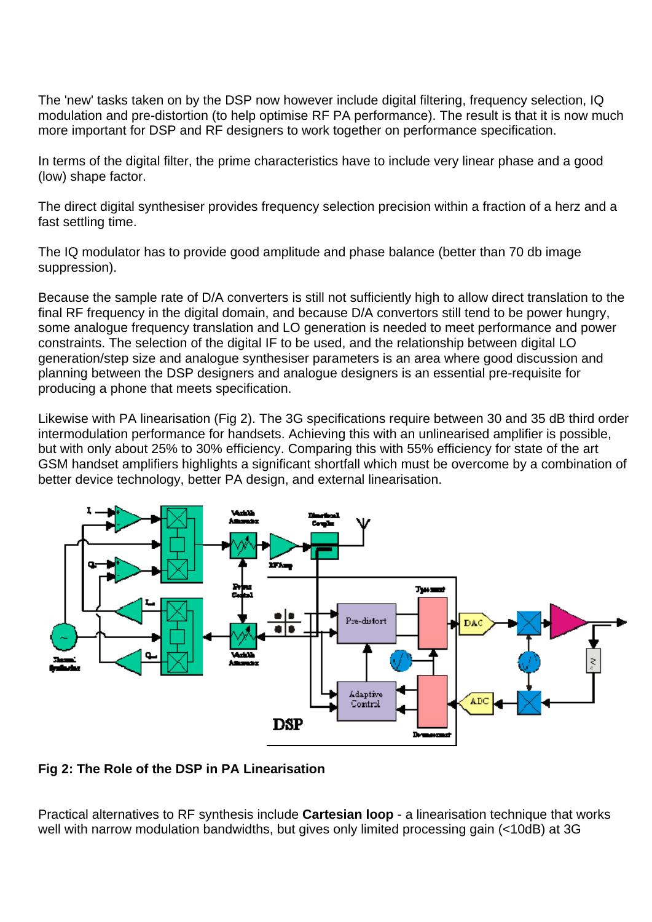The 'new' tasks taken on by the DSP now however include digital filtering, frequency selection, IQ modulation and pre-distortion (to help optimise RF PA performance). The result is that it is now much more important for DSP and RF designers to work together on performance specification.

In terms of the digital filter, the prime characteristics have to include very linear phase and a good (low) shape factor.

The direct digital synthesiser provides frequency selection precision within a fraction of a herz and a fast settling time.

The IQ modulator has to provide good amplitude and phase balance (better than 70 db image suppression).

Because the sample rate of D/A converters is still not sufficiently high to allow direct translation to the final RF frequency in the digital domain, and because D/A convertors still tend to be power hungry, some analogue frequency translation and LO generation is needed to meet performance and power constraints. The selection of the digital IF to be used, and the relationship between digital LO generation/step size and analogue synthesiser parameters is an area where good discussion and planning between the DSP designers and analogue designers is an essential pre-requisite for producing a phone that meets specification.

Likewise with PA linearisation (Fig 2). The 3G specifications require between 30 and 35 dB third order intermodulation performance for handsets. Achieving this with an unlinearised amplifier is possible, but with only about 25% to 30% efficiency. Comparing this with 55% efficiency for state of the art GSM handset amplifiers highlights a significant shortfall which must be overcome by a combination of better device technology, better PA design, and external linearisation.



#### **Fig 2: The Role of the DSP in PA Linearisation**

Practical alternatives to RF synthesis include **Cartesian loop** - a linearisation technique that works well with narrow modulation bandwidths, but gives only limited processing gain (<10dB) at 3G